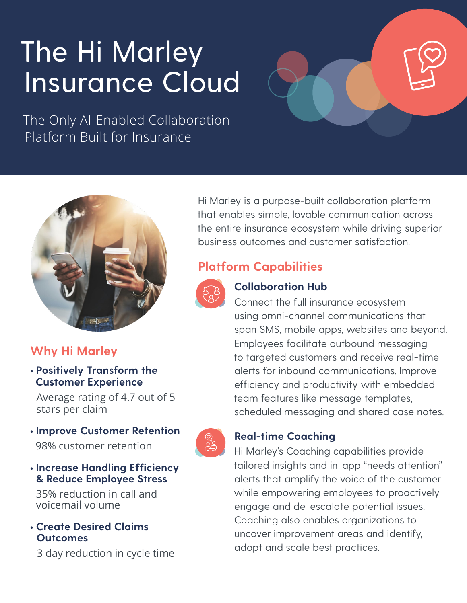# The Hi Marley Insurance Cloud

The Only AI-Enabled Collaboration Platform Built for Insurance



# **Why Hi Marley**

## • **Positively Transform the Customer Experience**

 Average rating of 4.7 out of 5 stars per claim

- **Improve Customer Retention** 98% customer retention
- **Increase Handling Efficiency & Reduce Employee Stress**

 35% reduction in call and voicemail volume

• **Create Desired Claims Outcomes**

3 day reduction in cycle time

Hi Marley is a purpose-built collaboration platform that enables simple, lovable communication across the entire insurance ecosystem while driving superior business outcomes and customer satisfaction.

## **Platform Capabilities**



## **Collaboration Hub**

Connect the full insurance ecosystem using omni-channel communications that span SMS, mobile apps, websites and beyond. Employees facilitate outbound messaging to targeted customers and receive real-time alerts for inbound communications. Improve efficiency and productivity with embedded team features like message templates, scheduled messaging and shared case notes.

## **Real-time Coaching**

Hi Marley's Coaching capabilities provide tailored insights and in-app "needs attention" alerts that amplify the voice of the customer while empowering employees to proactively engage and de-escalate potential issues. Coaching also enables organizations to uncover improvement areas and identify, adopt and scale best practices.